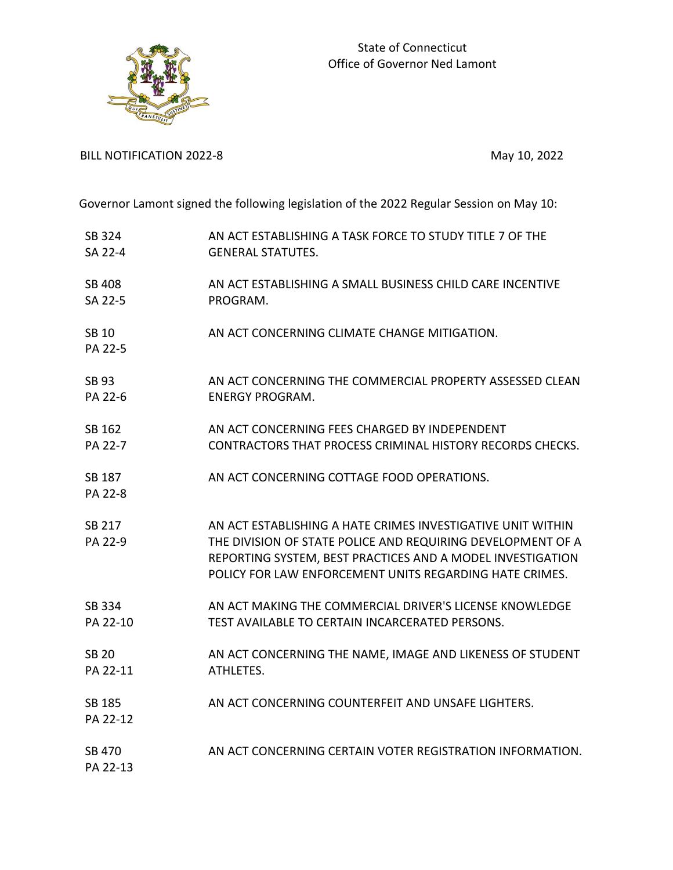

BILL NOTIFICATION 2022-8 May 10, 2022

Governor Lamont signed the following legislation of the 2022 Regular Session on May 10:

| SB 324                  | AN ACT ESTABLISHING A TASK FORCE TO STUDY TITLE 7 OF THE                                                                                                                                                                                            |
|-------------------------|-----------------------------------------------------------------------------------------------------------------------------------------------------------------------------------------------------------------------------------------------------|
| SA 22-4                 | <b>GENERAL STATUTES.</b>                                                                                                                                                                                                                            |
| <b>SB 408</b>           | AN ACT ESTABLISHING A SMALL BUSINESS CHILD CARE INCENTIVE                                                                                                                                                                                           |
| SA 22-5                 | PROGRAM.                                                                                                                                                                                                                                            |
| <b>SB 10</b><br>PA 22-5 | AN ACT CONCERNING CLIMATE CHANGE MITIGATION.                                                                                                                                                                                                        |
| <b>SB 93</b>            | AN ACT CONCERNING THE COMMERCIAL PROPERTY ASSESSED CLEAN                                                                                                                                                                                            |
| PA 22-6                 | <b>ENERGY PROGRAM.</b>                                                                                                                                                                                                                              |
| SB 162                  | AN ACT CONCERNING FEES CHARGED BY INDEPENDENT                                                                                                                                                                                                       |
| PA 22-7                 | <b>CONTRACTORS THAT PROCESS CRIMINAL HISTORY RECORDS CHECKS.</b>                                                                                                                                                                                    |
| SB 187<br>PA 22-8       | AN ACT CONCERNING COTTAGE FOOD OPERATIONS.                                                                                                                                                                                                          |
| SB 217<br>PA 22-9       | AN ACT ESTABLISHING A HATE CRIMES INVESTIGATIVE UNIT WITHIN<br>THE DIVISION OF STATE POLICE AND REQUIRING DEVELOPMENT OF A<br>REPORTING SYSTEM, BEST PRACTICES AND A MODEL INVESTIGATION<br>POLICY FOR LAW ENFORCEMENT UNITS REGARDING HATE CRIMES. |
| SB 334                  | AN ACT MAKING THE COMMERCIAL DRIVER'S LICENSE KNOWLEDGE                                                                                                                                                                                             |
| PA 22-10                | TEST AVAILABLE TO CERTAIN INCARCERATED PERSONS.                                                                                                                                                                                                     |
| <b>SB 20</b>            | AN ACT CONCERNING THE NAME, IMAGE AND LIKENESS OF STUDENT                                                                                                                                                                                           |
| PA 22-11                | ATHLETES.                                                                                                                                                                                                                                           |
| SB 185<br>PA 22-12      | AN ACT CONCERNING COUNTERFEIT AND UNSAFE LIGHTERS.                                                                                                                                                                                                  |
| SB 470<br>PA 22-13      | AN ACT CONCERNING CERTAIN VOTER REGISTRATION INFORMATION.                                                                                                                                                                                           |